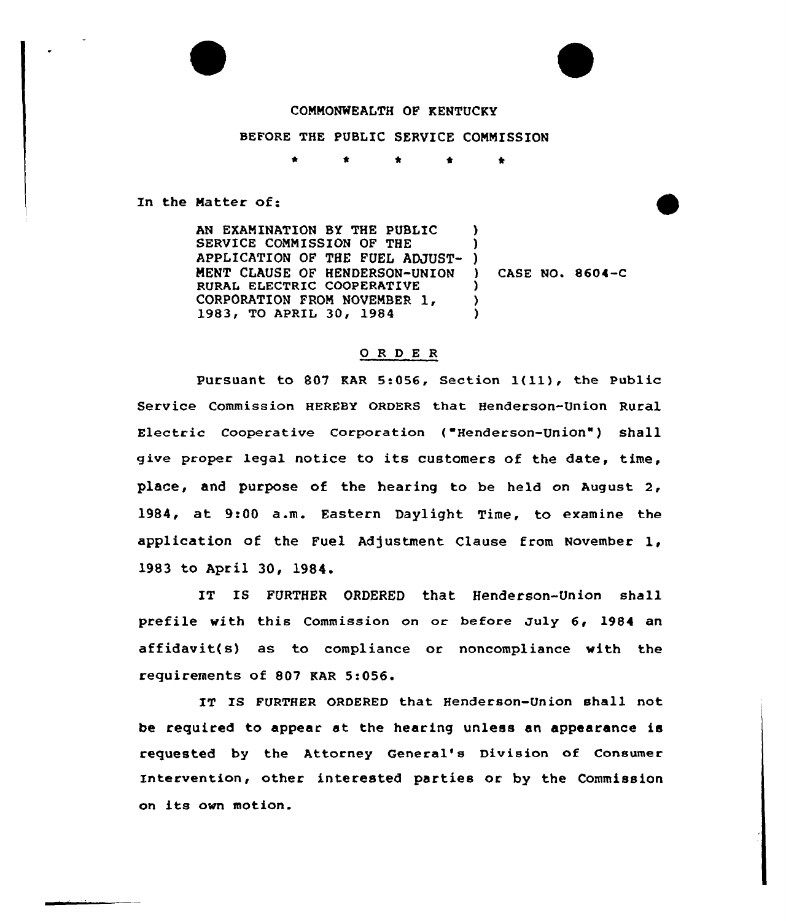## COMMONWEALTH OF KENTUCKY

## BEFORE THE PUBLIC SERVICE COMMISSION

\* \* \* \*

In the Matter of:

AN EXAMINATION BY THE PUBLIC SERVICE CONNISSION OF THE APPLICATION OF THE FUEL ADJUST-) MENT CLAUSE OF HENDERSON-UNION RURAK ELECTRIC CQQPERATIVE CORPORATION FROM NOVEMBER 1, 1983, TO APRIL 30, 1984  $\lambda$ ) ) ) )

) CASE NO. 8604-C

## 0 R <sup>D</sup> E R

Pursuant to 807 KAR 5:056, Section  $1(11)$ , the Public Service Commission HEREBY ORDERS that Henderson-Union Rural Electric cooperative corporation ( Henderson-Union" ) shall give proper legal notice to its customers of the date, time, place, and purpose of the hearing to be held on August 2, 1984, at 9:00 a.m. Eastern Daylight Time, to examine the application of the Fuel Adjustment Clause from November 1, l983 to April 30, 1984,

IT IS FURTHER ORDERED that Henderson-Union shall prefile with this Commission on or before July 6, 1984 an affidavit(s) as to compliance or noncompliance with the requirements of 807 KAR 5:056.

IT IS FURTHER ORDERED that Henderson-Union shall not be required to appear at the hearing unless an appearance is requested by the Attorney General's Division of Consumer Intervention, other interested parties or by the Commission on its own motion.